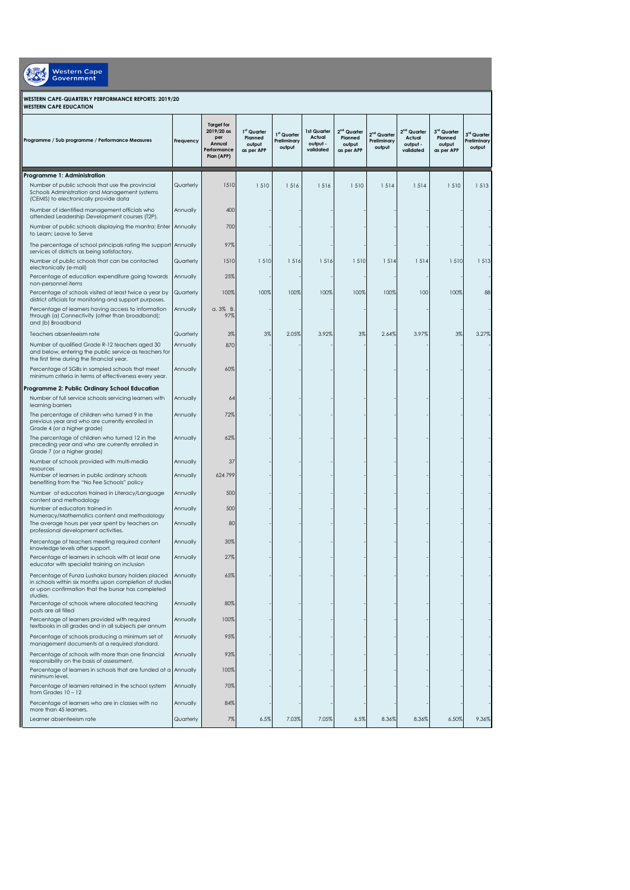| <b>Western Cape</b><br>Government                                                                                                                                   |           |                                                                               |                                                |                                                  |                                                |                                                            |                                                  |                                                  |                                                  |                                      |  |
|---------------------------------------------------------------------------------------------------------------------------------------------------------------------|-----------|-------------------------------------------------------------------------------|------------------------------------------------|--------------------------------------------------|------------------------------------------------|------------------------------------------------------------|--------------------------------------------------|--------------------------------------------------|--------------------------------------------------|--------------------------------------|--|
| WESTERN CAPE-QUARTERLY PERFORMANCE REPORTS: 2019/20<br><b>WESTERN CAPE EDUCATION</b>                                                                                |           |                                                                               |                                                |                                                  |                                                |                                                            |                                                  |                                                  |                                                  |                                      |  |
| Programme / Sub programme / Performance Measures                                                                                                                    | Frequency | <b>Target for</b><br>2019/20 as<br>per<br>Annual<br>Performance<br>Plan (APP) | 1st Quarter<br>Planned<br>output<br>as per APP | 1 <sup>st</sup> Quarter<br>Preliminary<br>output | 1st Quarter<br>Actual<br>output -<br>validated | 2 <sup>nd</sup> Quarter<br>Planned<br>output<br>as per APP | 2 <sup>nd</sup> Quarter<br>Preliminary<br>output | $2nd$ Quarter<br>Actual<br>output -<br>validated | $3rd$ Quarter<br>Planned<br>output<br>as per APP | 3rd Quarter<br>Preliminary<br>output |  |
| Programme 1: Administration                                                                                                                                         |           |                                                                               |                                                |                                                  |                                                |                                                            |                                                  |                                                  |                                                  |                                      |  |
| Number of public schools that use the provincial<br>Schools Administration and Management systems<br>(CEMIS) to electronically provide data                         | Quarterly | 1510                                                                          | 1510                                           | 1516                                             | 1516                                           | 1510                                                       | 1514                                             | 1514                                             | 1510                                             | 1513                                 |  |
| Number of identified management officials who<br>attended Leadership Development courses (T2P).                                                                     | Annually  | 400                                                                           |                                                |                                                  |                                                |                                                            |                                                  |                                                  |                                                  |                                      |  |
| Number of public schools displaying the mantra: Enter<br>to Learn; Leave to Serve                                                                                   | Annually  | 700                                                                           |                                                |                                                  |                                                |                                                            |                                                  |                                                  |                                                  |                                      |  |
| The percentage of school principals rating the support Annually<br>services of districts as being satisfactory.                                                     |           | 97%                                                                           |                                                |                                                  |                                                |                                                            |                                                  |                                                  |                                                  |                                      |  |
| Number of public schools that can be contacted<br>electronically (e-mail)                                                                                           | Quarterly | 1510                                                                          | 1510                                           | 1516                                             | 1516                                           | 1510                                                       | 1514                                             | 1514                                             | 1510                                             | 1513                                 |  |
| Percentage of education expenditure going towards<br>non-personnel items                                                                                            | Annually  | 25%                                                                           |                                                |                                                  |                                                |                                                            |                                                  |                                                  |                                                  |                                      |  |
| Percentage of schools visited at least twice a year by<br>district officials for monitoring and support purposes.                                                   | Quarterly | 100%                                                                          | 100%                                           | 100%                                             | 100%                                           | 100%                                                       | 100%                                             | 100                                              | 100%                                             | 88                                   |  |
| Percentage of learners having access to information<br>through (a) Connectivity (other than broadband);<br>and (b) Broadband                                        | Annually  | $a.3\%$ B<br>97%                                                              |                                                |                                                  |                                                |                                                            |                                                  |                                                  |                                                  |                                      |  |
| Teachers absenteeism rate                                                                                                                                           | Quarterly | 3%                                                                            | 3%                                             | 2.05%                                            | 3.92%                                          | 3%                                                         | 2.64%                                            | 3.97%                                            | 3%                                               | 3.27%                                |  |
| Number of qualified Grade R-12 teachers aged 30<br>and below, entering the public service as teachers for<br>the first time during the financial year.              | Annually  | 870                                                                           |                                                |                                                  |                                                |                                                            |                                                  |                                                  |                                                  |                                      |  |
| Percentage of SGBs in sampled schools that meet<br>minimum criteria in terms of effectiveness every year.                                                           | Annually  | 60%                                                                           |                                                |                                                  |                                                |                                                            |                                                  |                                                  |                                                  |                                      |  |
| Programme 2: Public Ordinary School Education<br>Number of full service schools servicing learners with                                                             | Annually  | 64                                                                            |                                                |                                                  |                                                |                                                            |                                                  |                                                  |                                                  |                                      |  |
| learning barriers<br>The percentage of children who turned 9 in the                                                                                                 | Annually  | 72%                                                                           |                                                |                                                  |                                                |                                                            |                                                  |                                                  |                                                  |                                      |  |
| previous year and who are currently enrolled in<br>Grade 4 (or a higher grade)                                                                                      |           |                                                                               |                                                |                                                  |                                                |                                                            |                                                  |                                                  |                                                  |                                      |  |
| The percentage of children who turned 12 in the<br>preceding year and who are currently enrolled in<br>Grade 7 (or a higher grade)                                  | Annually  | 62%                                                                           |                                                |                                                  |                                                |                                                            |                                                  |                                                  |                                                  |                                      |  |
| Number of schools provided with multi-media<br>resources                                                                                                            | Annually  | 37                                                                            |                                                |                                                  |                                                |                                                            |                                                  |                                                  |                                                  |                                      |  |
| Number of learners in public ordinary schools<br>benefiting from the "No Fee Schools" policy                                                                        | Annually  | 624 799                                                                       |                                                |                                                  |                                                |                                                            |                                                  |                                                  |                                                  |                                      |  |
| Number of educators trained in Literacy/Language<br>content and methodology                                                                                         | Annually  | 500                                                                           |                                                |                                                  |                                                |                                                            |                                                  |                                                  |                                                  |                                      |  |
| Number of educators trained in<br>Numeracy/Mathematics content and methodology                                                                                      | Annually  | 500                                                                           |                                                |                                                  |                                                |                                                            |                                                  |                                                  |                                                  |                                      |  |
| The average hours per year spent by teachers on<br>professional development activities.                                                                             | Annually  | 80                                                                            |                                                |                                                  |                                                |                                                            |                                                  |                                                  |                                                  |                                      |  |
| Percentage of teachers meeting required content<br>knowledge levels after support.                                                                                  | Annually  | 30%                                                                           |                                                |                                                  |                                                |                                                            |                                                  |                                                  |                                                  |                                      |  |
| Percentage of learners in schools with at least one<br>educator with specialist training on inclusion                                                               | Annually  | 27%                                                                           |                                                |                                                  |                                                |                                                            |                                                  |                                                  |                                                  |                                      |  |
| Percentage of Funza Lushaka bursary holders placed<br>in schools within six months upon completion of studies<br>or upon confirmation that the bursar has completed | Annually  | 65%                                                                           |                                                |                                                  |                                                |                                                            |                                                  |                                                  |                                                  |                                      |  |
| studies.<br>Percentage of schools where allocated teaching<br>posts are all filled                                                                                  | Annually  | 80%                                                                           |                                                |                                                  |                                                |                                                            |                                                  |                                                  |                                                  |                                      |  |
| Percentage of learners provided with required<br>textbooks in all grades and in all subjects per annum                                                              | Annually  | 100%                                                                          |                                                |                                                  |                                                |                                                            |                                                  |                                                  |                                                  |                                      |  |
| Percentage of schools producing a minimum set of<br>management documents at a required standard.                                                                    | Annually  | 95%                                                                           |                                                |                                                  |                                                |                                                            |                                                  |                                                  |                                                  |                                      |  |
| Percentage of schools with more than one financial<br>responsibility on the basis of assessment.                                                                    | Annually  | 93%                                                                           |                                                |                                                  |                                                |                                                            |                                                  |                                                  |                                                  |                                      |  |
| Percentage of learners in schools that are funded at a Annually<br>minimum level.                                                                                   |           | 100%                                                                          |                                                |                                                  |                                                |                                                            |                                                  |                                                  |                                                  |                                      |  |
| Percentage of learners retained in the school system<br>from Grades 10 - 12                                                                                         | Annually  | 70%                                                                           |                                                |                                                  |                                                |                                                            |                                                  |                                                  |                                                  |                                      |  |
| Percentage of learners who are in classes with no<br>more than 45 learners.                                                                                         | Annually  | 84%                                                                           |                                                |                                                  |                                                |                                                            |                                                  |                                                  |                                                  |                                      |  |
| Learner absenteeism rate                                                                                                                                            | Quarterly | 7%                                                                            | 6.5%                                           | 7.03%                                            | 7.05%                                          | 6.5%                                                       | 8.36%                                            | 8.36%                                            | 6.50%                                            | 9.36%                                |  |